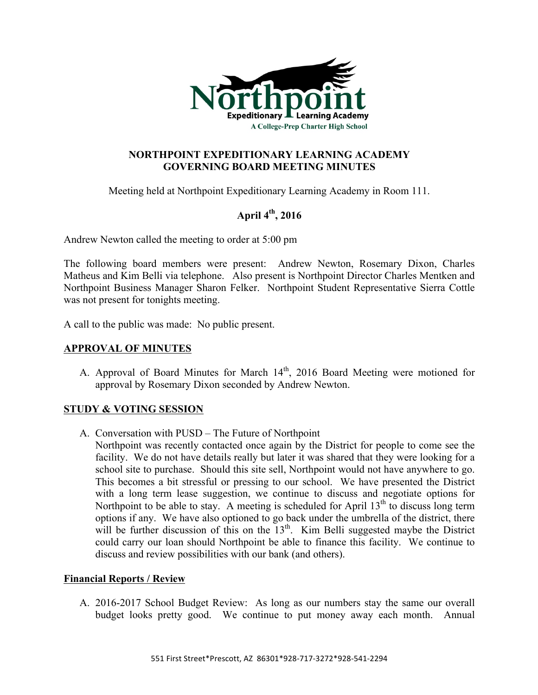

## **NORTHPOINT EXPEDITIONARY LEARNING ACADEMY GOVERNING BOARD MEETING MINUTES**

Meeting held at Northpoint Expeditionary Learning Academy in Room 111.

# **April 4th, 2016**

Andrew Newton called the meeting to order at 5:00 pm

The following board members were present: Andrew Newton, Rosemary Dixon, Charles Matheus and Kim Belli via telephone. Also present is Northpoint Director Charles Mentken and Northpoint Business Manager Sharon Felker. Northpoint Student Representative Sierra Cottle was not present for tonights meeting.

A call to the public was made: No public present.

## **APPROVAL OF MINUTES**

A. Approval of Board Minutes for March  $14<sup>th</sup>$ , 2016 Board Meeting were motioned for approval by Rosemary Dixon seconded by Andrew Newton.

## **STUDY & VOTING SESSION**

- A. Conversation with PUSD The Future of Northpoint
	- Northpoint was recently contacted once again by the District for people to come see the facility. We do not have details really but later it was shared that they were looking for a school site to purchase. Should this site sell, Northpoint would not have anywhere to go. This becomes a bit stressful or pressing to our school. We have presented the District with a long term lease suggestion, we continue to discuss and negotiate options for Northpoint to be able to stay. A meeting is scheduled for April  $13<sup>th</sup>$  to discuss long term options if any. We have also optioned to go back under the umbrella of the district, there will be further discussion of this on the  $13<sup>th</sup>$ . Kim Belli suggested maybe the District could carry our loan should Northpoint be able to finance this facility. We continue to discuss and review possibilities with our bank (and others).

#### **Financial Reports / Review**

A. 2016-2017 School Budget Review: As long as our numbers stay the same our overall budget looks pretty good. We continue to put money away each month. Annual